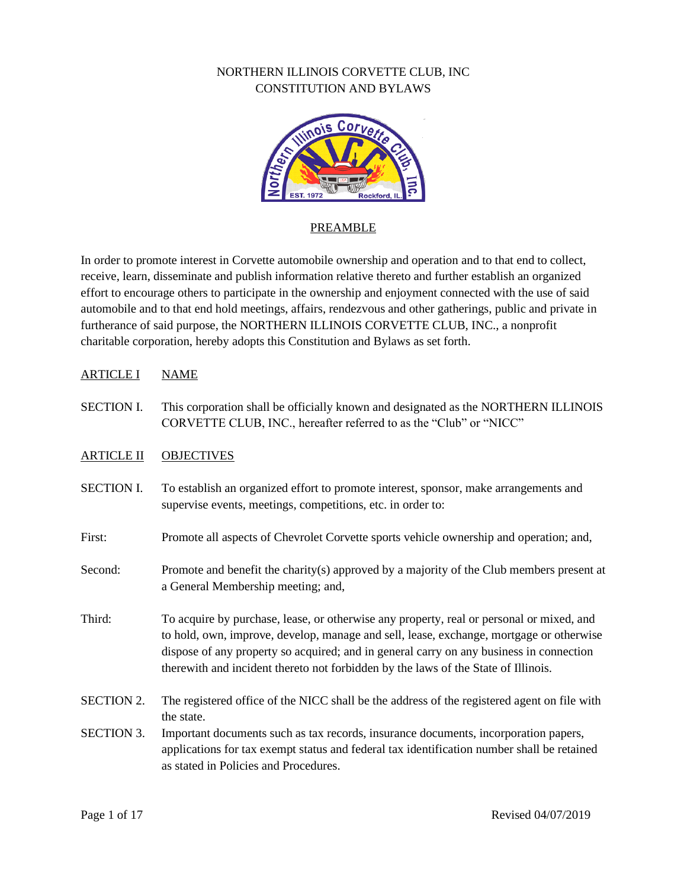

# PREAMBLE

In order to promote interest in Corvette automobile ownership and operation and to that end to collect, receive, learn, disseminate and publish information relative thereto and further establish an organized effort to encourage others to participate in the ownership and enjoyment connected with the use of said automobile and to that end hold meetings, affairs, rendezvous and other gatherings, public and private in furtherance of said purpose, the NORTHERN ILLINOIS CORVETTE CLUB, INC., a nonprofit charitable corporation, hereby adopts this Constitution and Bylaws as set forth.

## ARTICLE I NAME

SECTION I. This corporation shall be officially known and designated as the NORTHERN ILLINOIS CORVETTE CLUB, INC., hereafter referred to as the "Club" or "NICC"

## ARTICLE II OBJECTIVES

- SECTION I. To establish an organized effort to promote interest, sponsor, make arrangements and supervise events, meetings, competitions, etc. in order to:
- First: Promote all aspects of Chevrolet Corvette sports vehicle ownership and operation; and,
- Second: Promote and benefit the charity(s) approved by a majority of the Club members present at a General Membership meeting; and,
- Third: To acquire by purchase, lease, or otherwise any property, real or personal or mixed, and to hold, own, improve, develop, manage and sell, lease, exchange, mortgage or otherwise dispose of any property so acquired; and in general carry on any business in connection therewith and incident thereto not forbidden by the laws of the State of Illinois.
- SECTION 2. The registered office of the NICC shall be the address of the registered agent on file with the state.
- SECTION 3. Important documents such as tax records, insurance documents, incorporation papers, applications for tax exempt status and federal tax identification number shall be retained as stated in Policies and Procedures.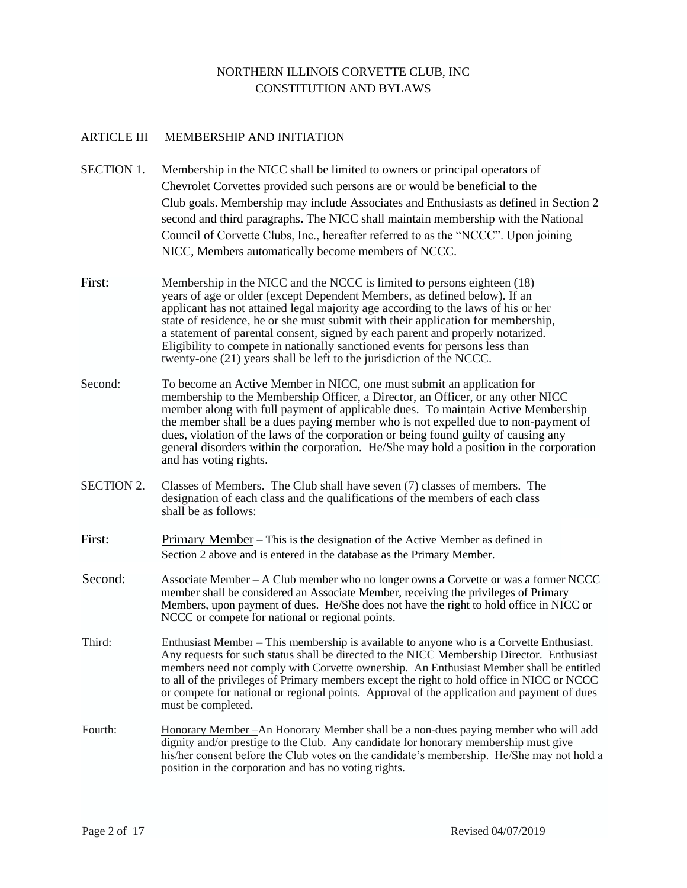## ARTICLE III MEMBERSHIP AND INITIATION

- SECTION 1. Membership in the NICC shall be limited to owners or principal operators of Chevrolet Corvettes provided such persons are or would be beneficial to the Club goals. Membership may include Associates and Enthusiasts as defined in Section 2 second and third paragraphs**.** The NICC shall maintain membership with the National Council of Corvette Clubs, Inc., hereafter referred to as the "NCCC". Upon joining NICC, Members automatically become members of NCCC.
- First: Membership in the NICC and the NCCC is limited to persons eighteen (18) years of age or older (except Dependent Members, as defined below). If an applicant has not attained legal majority age according to the laws of his or her state of residence, he or she must submit with their application for membership, a statement of parental consent, signed by each parent and properly notarized. Eligibility to compete in nationally sanctioned events for persons less than twenty-one (21) years shall be left to the jurisdiction of the NCCC.
- Second: To become an Active Member in NICC, one must submit an application for membership to the Membership Officer, a Director, an Officer, or any other NICC member along with full payment of applicable dues. To maintain Active Membership the member shall be a dues paying member who is not expelled due to non-payment of dues, violation of the laws of the corporation or being found guilty of causing any general disorders within the corporation. He/She may hold a position in the corporation and has voting rights.
- SECTION 2. Classes of Members. The Club shall have seven (7) classes of members. The designation of each class and the qualifications of the members of each class shall be as follows:
- First: Primary Member This is the designation of the Active Member as defined in Section 2 above and is entered in the database as the Primary Member.
- Second: Associate Member A Club member who no longer owns a Corvette or was a former NCCC member shall be considered an Associate Member, receiving the privileges of Primary Members, upon payment of dues. He/She does not have the right to hold office in NICC or NCCC or compete for national or regional points.
- Third: Enthusiast Member This membership is available to anyone who is a Corvette Enthusiast. Any requests for such status shall be directed to the NICC Membership Director. Enthusiast members need not comply with Corvette ownership. An Enthusiast Member shall be entitled to all of the privileges of Primary members except the right to hold office in NICC or NCCC or compete for national or regional points. Approval of the application and payment of dues must be completed.
- Fourth: Honorary Member –An Honorary Member shall be a non-dues paying member who will add dignity and/or prestige to the Club. Any candidate for honorary membership must give his/her consent before the Club votes on the candidate's membership. He/She may not hold a position in the corporation and has no voting rights.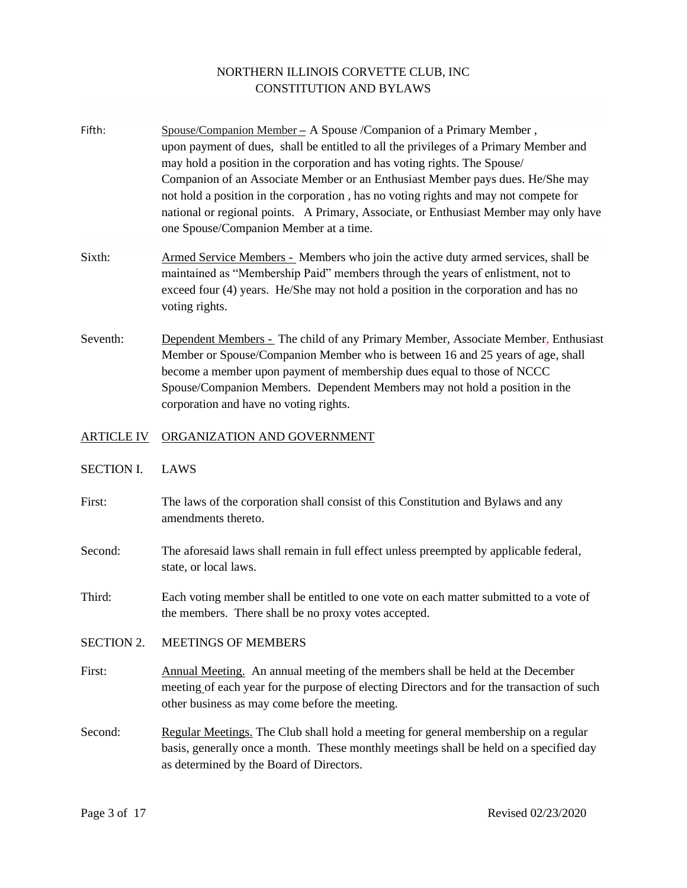- Fifth: Spouse/Companion Member **–** A Spouse /Companion of a Primary Member , upon payment of dues, shall be entitled to all the privileges of a Primary Member and may hold a position in the corporation and has voting rights. The Spouse/ Companion of an Associate Member or an Enthusiast Member pays dues. He/She may not hold a position in the corporation , has no voting rights and may not compete for national or regional points. A Primary, Associate, or Enthusiast Member may only have one Spouse/Companion Member at a time.
- Sixth: Armed Service Members Members who join the active duty armed services, shall be maintained as "Membership Paid" members through the years of enlistment, not to exceed four (4) years. He/She may not hold a position in the corporation and has no voting rights.
- Seventh: Dependent Members The child of any Primary Member, Associate Member, Enthusiast Member or Spouse/Companion Member who is between 16 and 25 years of age, shall become a member upon payment of membership dues equal to those of NCCC Spouse/Companion Members. Dependent Members may not hold a position in the corporation and have no voting rights.

#### ARTICLE IV ORGANIZATION AND GOVERNMENT

- SECTION I. LAWS
- First: The laws of the corporation shall consist of this Constitution and Bylaws and any amendments thereto.
- Second: The aforesaid laws shall remain in full effect unless preempted by applicable federal, state, or local laws.
- Third: Each voting member shall be entitled to one vote on each matter submitted to a vote of the members. There shall be no proxy votes accepted.
- SECTION 2. MEETINGS OF MEMBERS
- First: Annual Meeting. An annual meeting of the members shall be held at the December meeting of each year for the purpose of electing Directors and for the transaction of such other business as may come before the meeting.
- Second: Regular Meetings. The Club shall hold a meeting for general membership on a regular basis, generally once a month. These monthly meetings shall be held on a specified day as determined by the Board of Directors.

Page 3 of 17 Revised 02/23/2020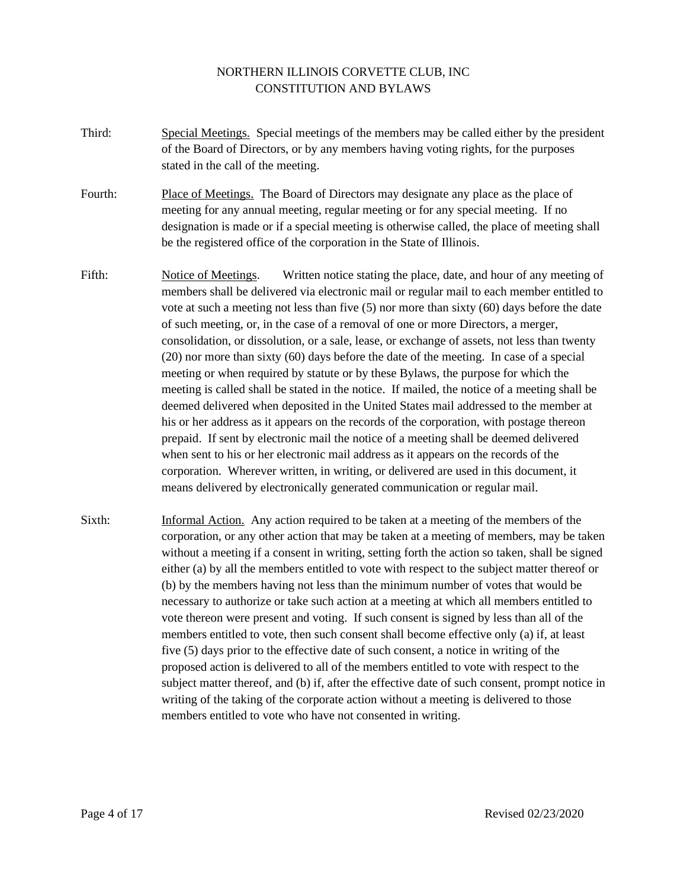- Third: Special Meetings. Special meetings of the members may be called either by the president of the Board of Directors, or by any members having voting rights, for the purposes stated in the call of the meeting.
- Fourth: Place of Meetings. The Board of Directors may designate any place as the place of meeting for any annual meeting, regular meeting or for any special meeting. If no designation is made or if a special meeting is otherwise called, the place of meeting shall be the registered office of the corporation in the State of Illinois.
- Fifth: Notice of Meetings. Written notice stating the place, date, and hour of any meeting of members shall be delivered via electronic mail or regular mail to each member entitled to vote at such a meeting not less than five (5) nor more than sixty (60) days before the date of such meeting, or, in the case of a removal of one or more Directors, a merger, consolidation, or dissolution, or a sale, lease, or exchange of assets, not less than twenty (20) nor more than sixty (60) days before the date of the meeting. In case of a special meeting or when required by statute or by these Bylaws, the purpose for which the meeting is called shall be stated in the notice. If mailed, the notice of a meeting shall be deemed delivered when deposited in the United States mail addressed to the member at his or her address as it appears on the records of the corporation, with postage thereon prepaid. If sent by electronic mail the notice of a meeting shall be deemed delivered when sent to his or her electronic mail address as it appears on the records of the corporation. Wherever written, in writing, or delivered are used in this document, it means delivered by electronically generated communication or regular mail.
- Sixth: Informal Action. Any action required to be taken at a meeting of the members of the corporation, or any other action that may be taken at a meeting of members, may be taken without a meeting if a consent in writing, setting forth the action so taken, shall be signed either (a) by all the members entitled to vote with respect to the subject matter thereof or (b) by the members having not less than the minimum number of votes that would be necessary to authorize or take such action at a meeting at which all members entitled to vote thereon were present and voting. If such consent is signed by less than all of the members entitled to vote, then such consent shall become effective only (a) if, at least five (5) days prior to the effective date of such consent, a notice in writing of the proposed action is delivered to all of the members entitled to vote with respect to the subject matter thereof, and (b) if, after the effective date of such consent, prompt notice in writing of the taking of the corporate action without a meeting is delivered to those members entitled to vote who have not consented in writing.

Page 4 of 17 Revised 02/23/2020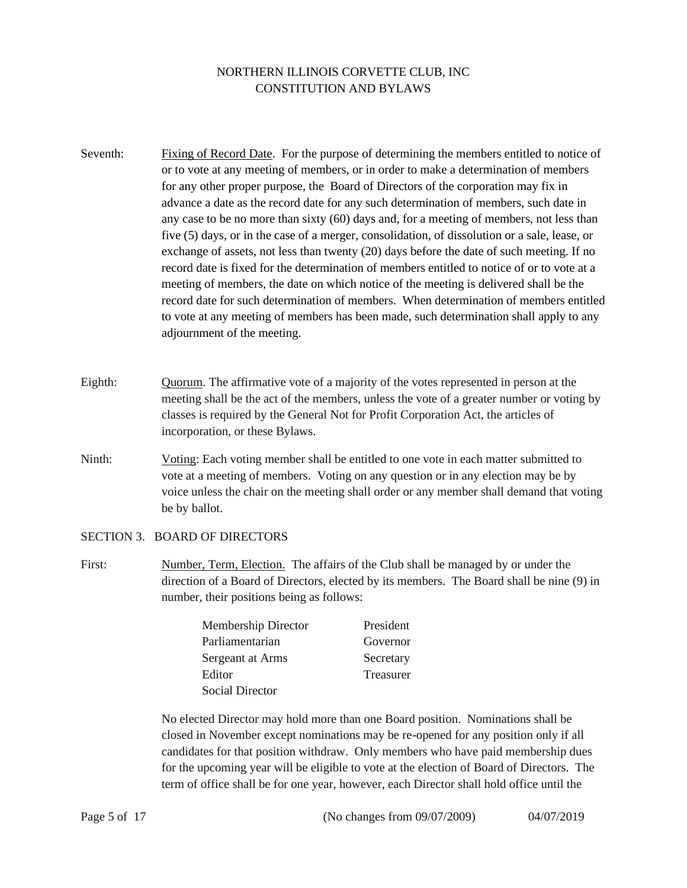- Seventh: Fixing of Record Date. For the purpose of determining the members entitled to notice of or to vote at any meeting of members, or in order to make a determination of members for any other proper purpose, the Board of Directors of the corporation may fix in advance a date as the record date for any such determination of members, such date in any case to be no more than sixty (60) days and, for a meeting of members, not less than five (5) days, or in the case of a merger, consolidation, of dissolution or a sale, lease, or exchange of assets, not less than twenty (20) days before the date of such meeting. If no record date is fixed for the determination of members entitled to notice of or to vote at a meeting of members, the date on which notice of the meeting is delivered shall be the record date for such determination of members. When determination of members entitled to vote at any meeting of members has been made, such determination shall apply to any adjournment of the meeting.
- Eighth: Quorum. The affirmative vote of a majority of the votes represented in person at the meeting shall be the act of the members, unless the vote of a greater number or voting by classes is required by the General Not for Profit Corporation Act, the articles of incorporation, or these Bylaws.
- Ninth: Voting: Each voting member shall be entitled to one vote in each matter submitted to vote at a meeting of members. Voting on any question or in any election may be by voice unless the chair on the meeting shall order or any member shall demand that voting be by ballot.

#### SECTION 3. BOARD OF DIRECTORS

First: Number, Term, Election. The affairs of the Club shall be managed by or under the direction of a Board of Directors, elected by its members. The Board shall be nine (9) in number, their positions being as follows:

| Membership Director | President |
|---------------------|-----------|
| Parliamentarian     | Governor  |
| Sergeant at Arms    | Secretary |
| Editor              | Treasurer |
| Social Director     |           |

No elected Director may hold more than one Board position. Nominations shall be closed in November except nominations may be re-opened for any position only if all candidates for that position withdraw. Only members who have paid membership dues for the upcoming year will be eligible to vote at the election of Board of Directors. The term of office shall be for one year, however, each Director shall hold office until the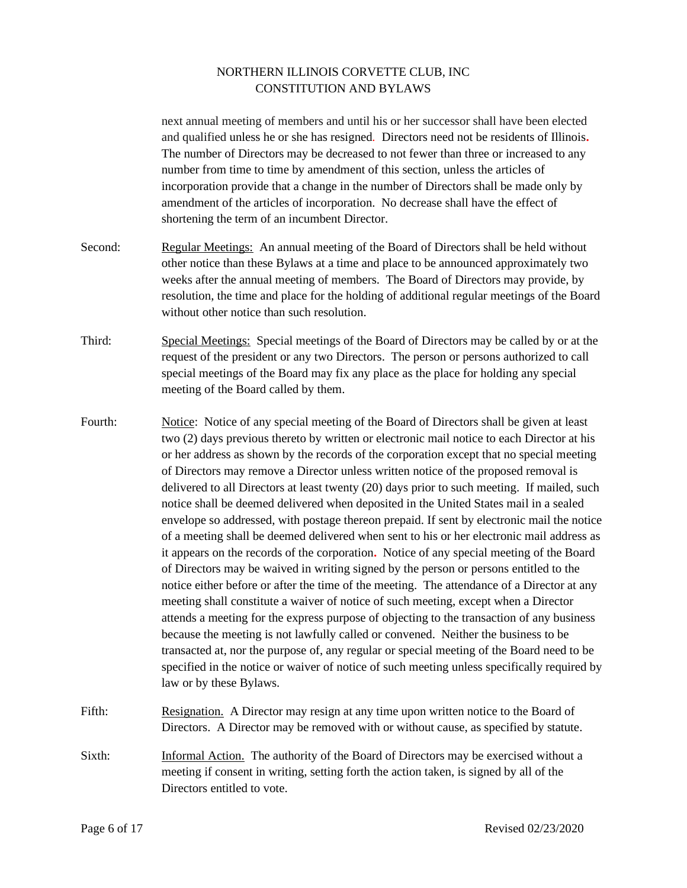next annual meeting of members and until his or her successor shall have been elected and qualified unless he or she has resigned*.* Directors need not be residents of Illinois**.**  The number of Directors may be decreased to not fewer than three or increased to any number from time to time by amendment of this section, unless the articles of incorporation provide that a change in the number of Directors shall be made only by amendment of the articles of incorporation. No decrease shall have the effect of shortening the term of an incumbent Director.

- Second: Regular Meetings: An annual meeting of the Board of Directors shall be held without other notice than these Bylaws at a time and place to be announced approximately two weeks after the annual meeting of members. The Board of Directors may provide, by resolution, the time and place for the holding of additional regular meetings of the Board without other notice than such resolution.
- Third: Special Meetings: Special meetings of the Board of Directors may be called by or at the request of the president or any two Directors. The person or persons authorized to call special meetings of the Board may fix any place as the place for holding any special meeting of the Board called by them.
- Fourth: Notice: Notice of any special meeting of the Board of Directors shall be given at least two (2) days previous thereto by written or electronic mail notice to each Director at his or her address as shown by the records of the corporation except that no special meeting of Directors may remove a Director unless written notice of the proposed removal is delivered to all Directors at least twenty (20) days prior to such meeting. If mailed, such notice shall be deemed delivered when deposited in the United States mail in a sealed envelope so addressed, with postage thereon prepaid. If sent by electronic mail the notice of a meeting shall be deemed delivered when sent to his or her electronic mail address as it appears on the records of the corporation**.** Notice of any special meeting of the Board of Directors may be waived in writing signed by the person or persons entitled to the notice either before or after the time of the meeting. The attendance of a Director at any meeting shall constitute a waiver of notice of such meeting, except when a Director attends a meeting for the express purpose of objecting to the transaction of any business because the meeting is not lawfully called or convened. Neither the business to be transacted at, nor the purpose of, any regular or special meeting of the Board need to be specified in the notice or waiver of notice of such meeting unless specifically required by law or by these Bylaws.
- Fifth: Resignation. A Director may resign at any time upon written notice to the Board of Directors. A Director may be removed with or without cause, as specified by statute.
- Sixth: Informal Action. The authority of the Board of Directors may be exercised without a meeting if consent in writing, setting forth the action taken, is signed by all of the Directors entitled to vote.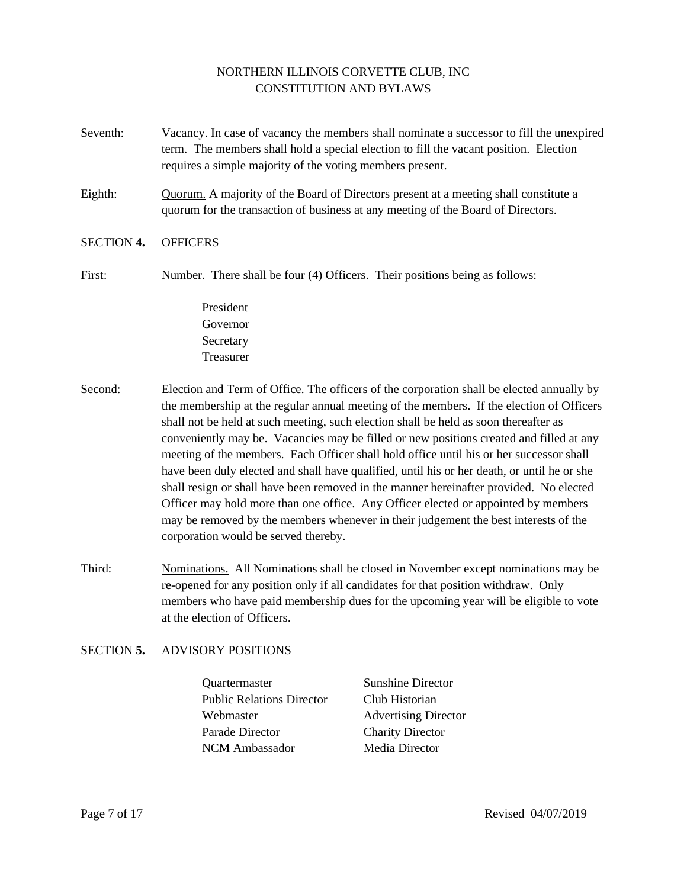- Seventh: Vacancy. In case of vacancy the members shall nominate a successor to fill the unexpired term. The members shall hold a special election to fill the vacant position. Election requires a simple majority of the voting members present.
- Eighth: Quorum. A majority of the Board of Directors present at a meeting shall constitute a quorum for the transaction of business at any meeting of the Board of Directors.

#### SECTION **4.** OFFICERS

- First: Number. There shall be four (4) Officers. Their positions being as follows:
	- President Governor **Secretary** Treasurer
- Second: Election and Term of Office. The officers of the corporation shall be elected annually by the membership at the regular annual meeting of the members. If the election of Officers shall not be held at such meeting, such election shall be held as soon thereafter as conveniently may be. Vacancies may be filled or new positions created and filled at any meeting of the members. Each Officer shall hold office until his or her successor shall have been duly elected and shall have qualified, until his or her death, or until he or she shall resign or shall have been removed in the manner hereinafter provided. No elected Officer may hold more than one office. Any Officer elected or appointed by members may be removed by the members whenever in their judgement the best interests of the corporation would be served thereby.
- Third: Nominations. All Nominations shall be closed in November except nominations may be re-opened for any position only if all candidates for that position withdraw. Only members who have paid membership dues for the upcoming year will be eligible to vote at the election of Officers.

## SECTION **5.** ADVISORY POSITIONS

- Quartermaster Sunshine Director Public Relations Director Club Historian Webmaster **Advertising Director** Parade Director Charity Director NCM Ambassador Media Director
	-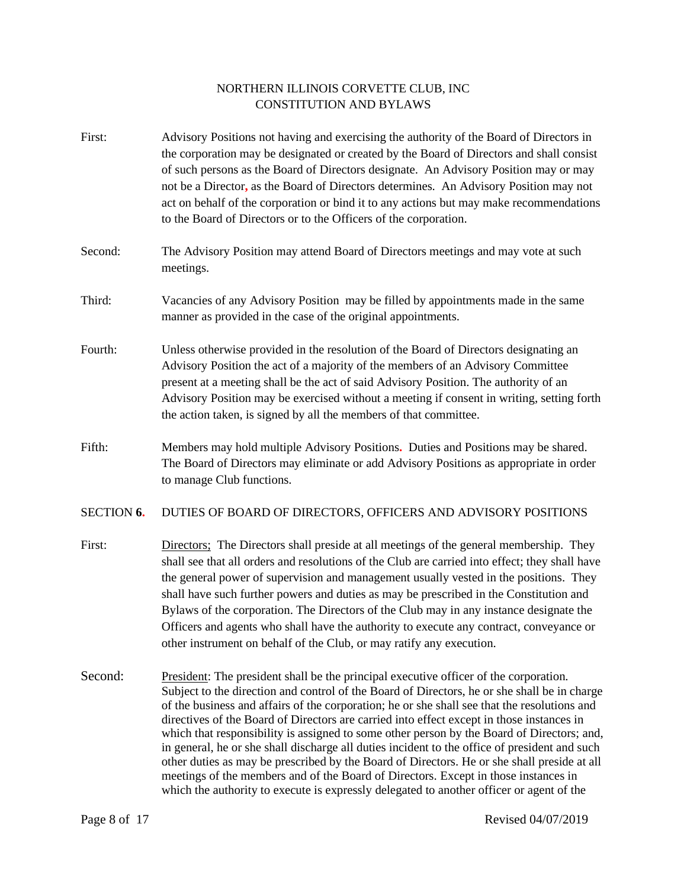- First: Advisory Positions not having and exercising the authority of the Board of Directors in the corporation may be designated or created by the Board of Directors and shall consist of such persons as the Board of Directors designate. An Advisory Position may or may not be a Director**,** as the Board of Directors determines. An Advisory Position may not act on behalf of the corporation or bind it to any actions but may make recommendations to the Board of Directors or to the Officers of the corporation.
- Second: The Advisory Position may attend Board of Directors meetings and may vote at such meetings.
- Third: Vacancies of any Advisory Position may be filled by appointments made in the same manner as provided in the case of the original appointments.
- Fourth: Unless otherwise provided in the resolution of the Board of Directors designating an Advisory Position the act of a majority of the members of an Advisory Committee present at a meeting shall be the act of said Advisory Position. The authority of an Advisory Position may be exercised without a meeting if consent in writing, setting forth the action taken, is signed by all the members of that committee.
- Fifth: Members may hold multiple Advisory Positions**.** Duties and Positions may be shared. The Board of Directors may eliminate or add Advisory Positions as appropriate in order to manage Club functions.
- SECTION **6.** DUTIES OF BOARD OF DIRECTORS, OFFICERS AND ADVISORY POSITIONS
- First: Directors; The Directors shall preside at all meetings of the general membership. They shall see that all orders and resolutions of the Club are carried into effect; they shall have the general power of supervision and management usually vested in the positions. They shall have such further powers and duties as may be prescribed in the Constitution and Bylaws of the corporation. The Directors of the Club may in any instance designate the Officers and agents who shall have the authority to execute any contract, conveyance or other instrument on behalf of the Club, or may ratify any execution.
- Second: President: The president shall be the principal executive officer of the corporation. Subject to the direction and control of the Board of Directors, he or she shall be in charge of the business and affairs of the corporation; he or she shall see that the resolutions and directives of the Board of Directors are carried into effect except in those instances in which that responsibility is assigned to some other person by the Board of Directors; and, in general, he or she shall discharge all duties incident to the office of president and such other duties as may be prescribed by the Board of Directors. He or she shall preside at all meetings of the members and of the Board of Directors. Except in those instances in which the authority to execute is expressly delegated to another officer or agent of the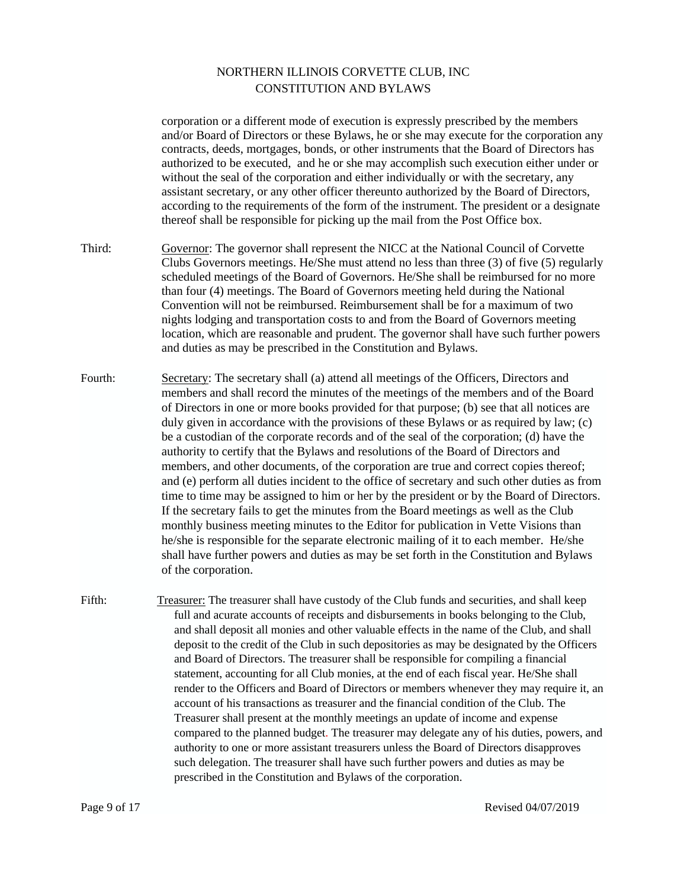corporation or a different mode of execution is expressly prescribed by the members and/or Board of Directors or these Bylaws, he or she may execute for the corporation any contracts, deeds, mortgages, bonds, or other instruments that the Board of Directors has authorized to be executed, and he or she may accomplish such execution either under or without the seal of the corporation and either individually or with the secretary, any assistant secretary, or any other officer thereunto authorized by the Board of Directors, according to the requirements of the form of the instrument. The president or a designate thereof shall be responsible for picking up the mail from the Post Office box. Third: Governor: The governor shall represent the NICC at the National Council of Corvette Clubs Governors meetings. He/She must attend no less than three (3) of five (5) regularly scheduled meetings of the Board of Governors. He/She shall be reimbursed for no more than four (4) meetings. The Board of Governors meeting held during the National Convention will not be reimbursed. Reimbursement shall be for a maximum of two nights lodging and transportation costs to and from the Board of Governors meeting location, which are reasonable and prudent. The governor shall have such further powers and duties as may be prescribed in the Constitution and Bylaws. Fourth: Secretary: The secretary shall (a) attend all meetings of the Officers, Directors and members and shall record the minutes of the meetings of the members and of the Board of Directors in one or more books provided for that purpose; (b) see that all notices are duly given in accordance with the provisions of these Bylaws or as required by law; (c) be a custodian of the corporate records and of the seal of the corporation; (d) have the authority to certify that the Bylaws and resolutions of the Board of Directors and members, and other documents, of the corporation are true and correct copies thereof; and (e) perform all duties incident to the office of secretary and such other duties as from time to time may be assigned to him or her by the president or by the Board of Directors. If the secretary fails to get the minutes from the Board meetings as well as the Club monthly business meeting minutes to the Editor for publication in Vette Visions than he/she is responsible for the separate electronic mailing of it to each member. He/she shall have further powers and duties as may be set forth in the Constitution and Bylaws of the corporation. Fifth: Treasurer: The treasurer shall have custody of the Club funds and securities, and shall keep full and acurate accounts of receipts and disbursements in books belonging to the Club, and shall deposit all monies and other valuable effects in the name of the Club, and shall deposit to the credit of the Club in such depositories as may be designated by the Officers and Board of Directors. The treasurer shall be responsible for compiling a financial statement, accounting for all Club monies, at the end of each fiscal year. He/She shall render to the Officers and Board of Directors or members whenever they may require it, an account of his transactions as treasurer and the financial condition of the Club. The Treasurer shall present at the monthly meetings an update of income and expense

compared to the planned budget. The treasurer may delegate any of his duties, powers, and authority to one or more assistant treasurers unless the Board of Directors disapproves such delegation. The treasurer shall have such further powers and duties as may be prescribed in the Constitution and Bylaws of the corporation.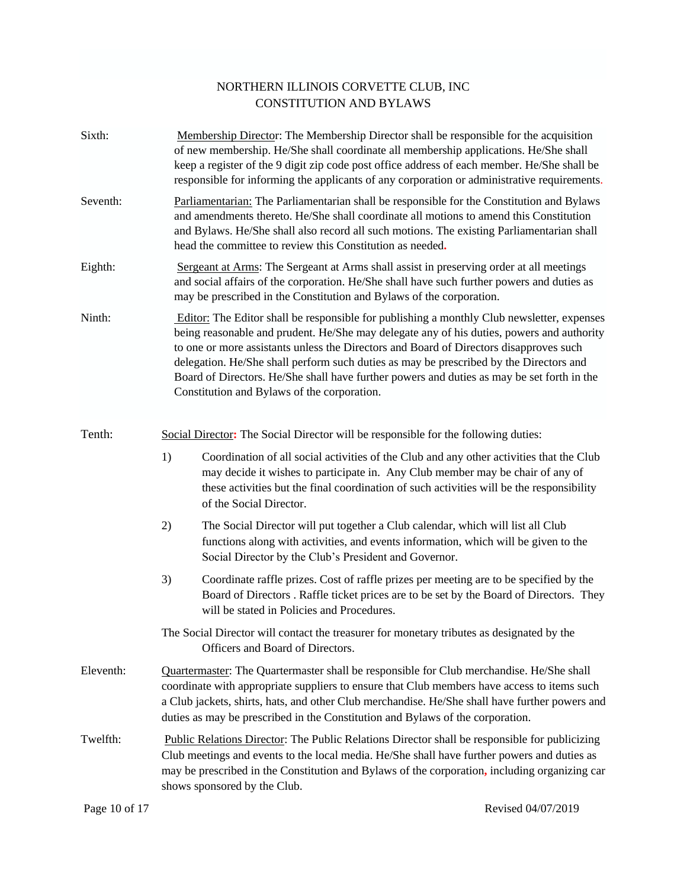| Sixth:    |                                                                                                                                                                                                                                                                                                                                                                                                                                                                                                                                 | Membership Director: The Membership Director shall be responsible for the acquisition<br>of new membership. He/She shall coordinate all membership applications. He/She shall<br>keep a register of the 9 digit zip code post office address of each member. He/She shall be<br>responsible for informing the applicants of any corporation or administrative requirements. |  |
|-----------|---------------------------------------------------------------------------------------------------------------------------------------------------------------------------------------------------------------------------------------------------------------------------------------------------------------------------------------------------------------------------------------------------------------------------------------------------------------------------------------------------------------------------------|-----------------------------------------------------------------------------------------------------------------------------------------------------------------------------------------------------------------------------------------------------------------------------------------------------------------------------------------------------------------------------|--|
| Seventh:  | Parliamentarian: The Parliamentarian shall be responsible for the Constitution and Bylaws<br>and amendments thereto. He/She shall coordinate all motions to amend this Constitution<br>and Bylaws. He/She shall also record all such motions. The existing Parliamentarian shall<br>head the committee to review this Constitution as needed.                                                                                                                                                                                   |                                                                                                                                                                                                                                                                                                                                                                             |  |
| Eighth:   | Sergeant at Arms: The Sergeant at Arms shall assist in preserving order at all meetings<br>and social affairs of the corporation. He/She shall have such further powers and duties as<br>may be prescribed in the Constitution and Bylaws of the corporation.                                                                                                                                                                                                                                                                   |                                                                                                                                                                                                                                                                                                                                                                             |  |
| Ninth:    | <b>Editor:</b> The Editor shall be responsible for publishing a monthly Club newsletter, expenses<br>being reasonable and prudent. He/She may delegate any of his duties, powers and authority<br>to one or more assistants unless the Directors and Board of Directors disapproves such<br>delegation. He/She shall perform such duties as may be prescribed by the Directors and<br>Board of Directors. He/She shall have further powers and duties as may be set forth in the<br>Constitution and Bylaws of the corporation. |                                                                                                                                                                                                                                                                                                                                                                             |  |
| Tenth:    | Social Director: The Social Director will be responsible for the following duties:                                                                                                                                                                                                                                                                                                                                                                                                                                              |                                                                                                                                                                                                                                                                                                                                                                             |  |
|           | 1)                                                                                                                                                                                                                                                                                                                                                                                                                                                                                                                              | Coordination of all social activities of the Club and any other activities that the Club<br>may decide it wishes to participate in. Any Club member may be chair of any of<br>these activities but the final coordination of such activities will be the responsibility<br>of the Social Director.                                                                          |  |
|           | 2)                                                                                                                                                                                                                                                                                                                                                                                                                                                                                                                              | The Social Director will put together a Club calendar, which will list all Club<br>functions along with activities, and events information, which will be given to the<br>Social Director by the Club's President and Governor.                                                                                                                                             |  |
|           | 3)                                                                                                                                                                                                                                                                                                                                                                                                                                                                                                                              | Coordinate raffle prizes. Cost of raffle prizes per meeting are to be specified by the<br>Board of Directors . Raffle ticket prices are to be set by the Board of Directors. They<br>will be stated in Policies and Procedures.                                                                                                                                             |  |
|           |                                                                                                                                                                                                                                                                                                                                                                                                                                                                                                                                 | The Social Director will contact the treasurer for monetary tributes as designated by the<br>Officers and Board of Directors.                                                                                                                                                                                                                                               |  |
| Eleventh: | Quartermaster: The Quartermaster shall be responsible for Club merchandise. He/She shall<br>coordinate with appropriate suppliers to ensure that Club members have access to items such<br>a Club jackets, shirts, hats, and other Club merchandise. He/She shall have further powers and<br>duties as may be prescribed in the Constitution and Bylaws of the corporation.                                                                                                                                                     |                                                                                                                                                                                                                                                                                                                                                                             |  |
| Twelfth:  | Public Relations Director: The Public Relations Director shall be responsible for publicizing<br>Club meetings and events to the local media. He/She shall have further powers and duties as<br>may be prescribed in the Constitution and Bylaws of the corporation, including organizing car<br>shows sponsored by the Club.                                                                                                                                                                                                   |                                                                                                                                                                                                                                                                                                                                                                             |  |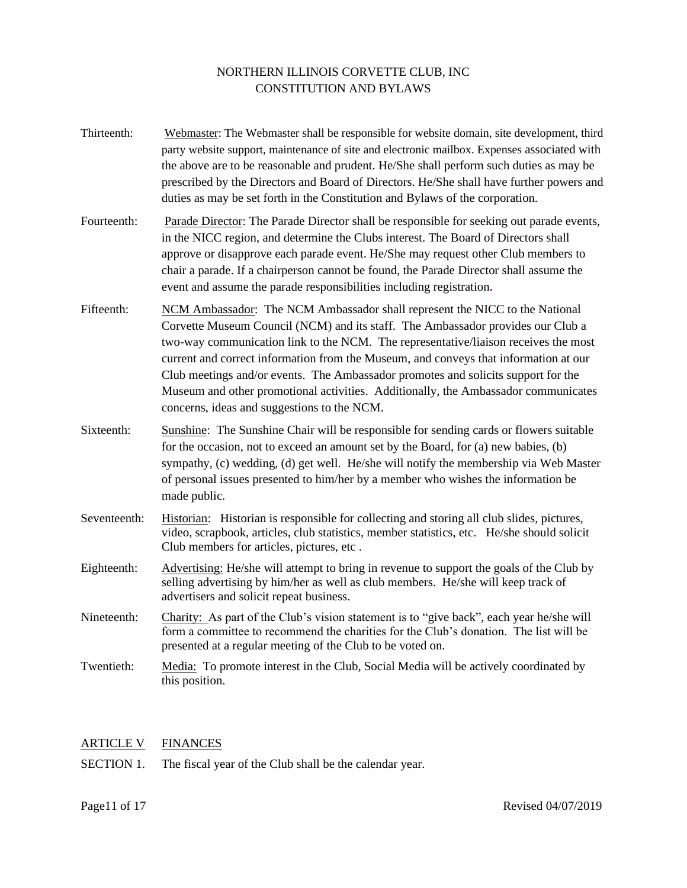Thirteenth: Webmaster: The Webmaster shall be responsible for website domain, site development, third party website support, maintenance of site and electronic mailbox. Expenses associated with the above are to be reasonable and prudent. He/She shall perform such duties as may be prescribed by the Directors and Board of Directors. He/She shall have further powers and duties as may be set forth in the Constitution and Bylaws of the corporation. Fourteenth: Parade Director: The Parade Director shall be responsible for seeking out parade events, in the NICC region, and determine the Clubs interest. The Board of Directors shall approve or disapprove each parade event. He/She may request other Club members to chair a parade. If a chairperson cannot be found, the Parade Director shall assume the event and assume the parade responsibilities including registration**.** Fifteenth: NCM Ambassador: The NCM Ambassador shall represent the NICC to the National Corvette Museum Council (NCM) and its staff. The Ambassador provides our Club a two-way communication link to the NCM. The representative/liaison receives the most current and correct information from the Museum, and conveys that information at our Club meetings and/or events. The Ambassador promotes and solicits support for the Museum and other promotional activities. Additionally, the Ambassador communicates concerns, ideas and suggestions to the NCM. Sixteenth: Sunshine: The Sunshine Chair will be responsible for sending cards or flowers suitable for the occasion, not to exceed an amount set by the Board, for (a) new babies, (b) sympathy, (c) wedding, (d) get well. He/she will notify the membership via Web Master of personal issues presented to him/her by a member who wishes the information be made public. Seventeenth: Historian: Historian is responsible for collecting and storing all club slides, pictures, video, scrapbook, articles, club statistics, member statistics, etc. He/she should solicit Club members for articles, pictures, etc . Eighteenth: Advertising: He/she will attempt to bring in revenue to support the goals of the Club by selling advertising by him/her as well as club members. He/she will keep track of advertisers and solicit repeat business. Nineteenth: Charity: As part of the Club's vision statement is to "give back", each year he/she will form a committee to recommend the charities for the Club's donation. The list will be presented at a regular meeting of the Club to be voted on. Twentieth: Media: To promote interest in the Club, Social Media will be actively coordinated by this position.

## ARTICLE V FINANCES

SECTION 1. The fiscal year of the Club shall be the calendar year.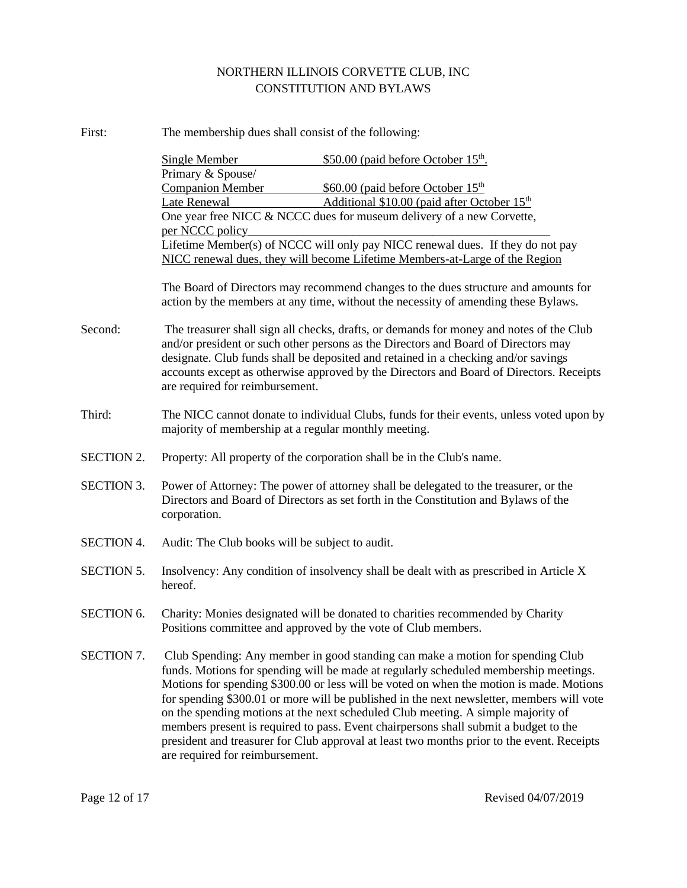| First:            | The membership dues shall consist of the following:                                                                                                                                                                                                                                                                                                                                                                                                                                                                                                                                                                                                                         |  |  |
|-------------------|-----------------------------------------------------------------------------------------------------------------------------------------------------------------------------------------------------------------------------------------------------------------------------------------------------------------------------------------------------------------------------------------------------------------------------------------------------------------------------------------------------------------------------------------------------------------------------------------------------------------------------------------------------------------------------|--|--|
|                   | \$50.00 (paid before October 15 <sup>th</sup> .<br><b>Single Member</b>                                                                                                                                                                                                                                                                                                                                                                                                                                                                                                                                                                                                     |  |  |
|                   | Primary & Spouse/                                                                                                                                                                                                                                                                                                                                                                                                                                                                                                                                                                                                                                                           |  |  |
|                   | <b>Companion Member</b><br>\$60.00 (paid before October 15 <sup>th</sup>                                                                                                                                                                                                                                                                                                                                                                                                                                                                                                                                                                                                    |  |  |
|                   | Additional \$10.00 (paid after October 15 <sup>th</sup><br>Late Renewal                                                                                                                                                                                                                                                                                                                                                                                                                                                                                                                                                                                                     |  |  |
|                   | One year free NICC & NCCC dues for museum delivery of a new Corvette,<br>per NCCC policy                                                                                                                                                                                                                                                                                                                                                                                                                                                                                                                                                                                    |  |  |
|                   | Lifetime Member(s) of NCCC will only pay NICC renewal dues. If they do not pay                                                                                                                                                                                                                                                                                                                                                                                                                                                                                                                                                                                              |  |  |
|                   | NICC renewal dues, they will become Lifetime Members-at-Large of the Region                                                                                                                                                                                                                                                                                                                                                                                                                                                                                                                                                                                                 |  |  |
|                   | The Board of Directors may recommend changes to the dues structure and amounts for<br>action by the members at any time, without the necessity of amending these Bylaws.                                                                                                                                                                                                                                                                                                                                                                                                                                                                                                    |  |  |
| Second:           | The treasurer shall sign all checks, drafts, or demands for money and notes of the Club<br>and/or president or such other persons as the Directors and Board of Directors may<br>designate. Club funds shall be deposited and retained in a checking and/or savings<br>accounts except as otherwise approved by the Directors and Board of Directors. Receipts<br>are required for reimbursement.                                                                                                                                                                                                                                                                           |  |  |
| Third:            | The NICC cannot donate to individual Clubs, funds for their events, unless voted upon by<br>majority of membership at a regular monthly meeting.                                                                                                                                                                                                                                                                                                                                                                                                                                                                                                                            |  |  |
| <b>SECTION 2.</b> | Property: All property of the corporation shall be in the Club's name.                                                                                                                                                                                                                                                                                                                                                                                                                                                                                                                                                                                                      |  |  |
| <b>SECTION 3.</b> | Power of Attorney: The power of attorney shall be delegated to the treasurer, or the<br>Directors and Board of Directors as set forth in the Constitution and Bylaws of the<br>corporation.                                                                                                                                                                                                                                                                                                                                                                                                                                                                                 |  |  |
| <b>SECTION 4.</b> | Audit: The Club books will be subject to audit.                                                                                                                                                                                                                                                                                                                                                                                                                                                                                                                                                                                                                             |  |  |
| <b>SECTION 5.</b> | Insolvency: Any condition of insolvency shall be dealt with as prescribed in Article X<br>hereof.                                                                                                                                                                                                                                                                                                                                                                                                                                                                                                                                                                           |  |  |
| <b>SECTION 6.</b> | Charity: Monies designated will be donated to charities recommended by Charity<br>Positions committee and approved by the vote of Club members.                                                                                                                                                                                                                                                                                                                                                                                                                                                                                                                             |  |  |
| SECTION 7.        | Club Spending: Any member in good standing can make a motion for spending Club<br>funds. Motions for spending will be made at regularly scheduled membership meetings.<br>Motions for spending \$300.00 or less will be voted on when the motion is made. Motions<br>for spending \$300.01 or more will be published in the next newsletter, members will vote<br>on the spending motions at the next scheduled Club meeting. A simple majority of<br>members present is required to pass. Event chairpersons shall submit a budget to the<br>president and treasurer for Club approval at least two months prior to the event. Receipts<br>are required for reimbursement. |  |  |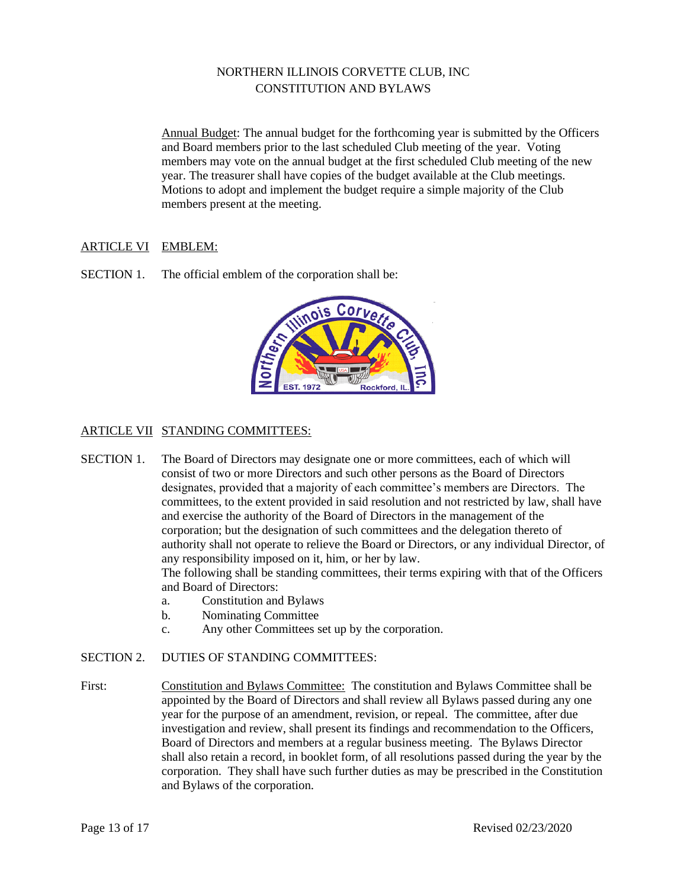Annual Budget: The annual budget for the forthcoming year is submitted by the Officers and Board members prior to the last scheduled Club meeting of the year. Voting members may vote on the annual budget at the first scheduled Club meeting of the new year. The treasurer shall have copies of the budget available at the Club meetings. Motions to adopt and implement the budget require a simple majority of the Club members present at the meeting.

# ARTICLE VI EMBLEM:

SECTION 1. The official emblem of the corporation shall be:



# ARTICLE VII STANDING COMMITTEES:

- SECTION 1. The Board of Directors may designate one or more committees, each of which will consist of two or more Directors and such other persons as the Board of Directors designates, provided that a majority of each committee's members are Directors. The committees, to the extent provided in said resolution and not restricted by law, shall have and exercise the authority of the Board of Directors in the management of the corporation; but the designation of such committees and the delegation thereto of authority shall not operate to relieve the Board or Directors, or any individual Director, of any responsibility imposed on it, him, or her by law. The following shall be standing committees, their terms expiring with that of the Officers and Board of Directors:
	- a. Constitution and Bylaws
	- b. Nominating Committee
	- c. Any other Committees set up by the corporation.

## SECTION 2. DUTIES OF STANDING COMMITTEES:

First: Constitution and Bylaws Committee: The constitution and Bylaws Committee shall be appointed by the Board of Directors and shall review all Bylaws passed during any one year for the purpose of an amendment, revision, or repeal. The committee, after due investigation and review, shall present its findings and recommendation to the Officers, Board of Directors and members at a regular business meeting. The Bylaws Director shall also retain a record, in booklet form, of all resolutions passed during the year by the corporation. They shall have such further duties as may be prescribed in the Constitution and Bylaws of the corporation.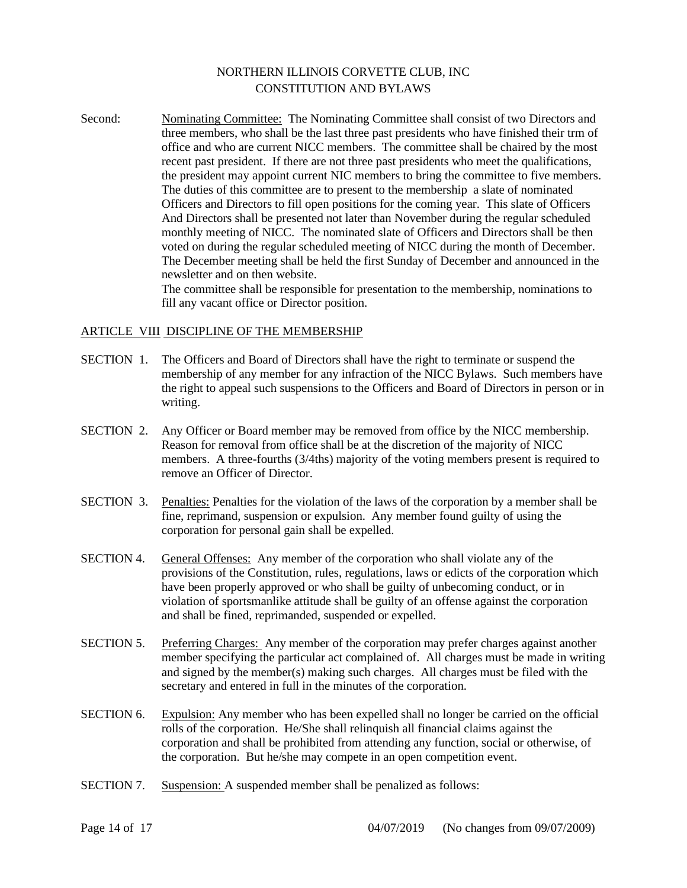Second: Nominating Committee: The Nominating Committee shall consist of two Directors and three members, who shall be the last three past presidents who have finished their trm of office and who are current NICC members. The committee shall be chaired by the most recent past president. If there are not three past presidents who meet the qualifications, the president may appoint current NIC members to bring the committee to five members. The duties of this committee are to present to the membership a slate of nominated Officers and Directors to fill open positions for the coming year. This slate of Officers And Directors shall be presented not later than November during the regular scheduled monthly meeting of NICC. The nominated slate of Officers and Directors shall be then voted on during the regular scheduled meeting of NICC during the month of December. The December meeting shall be held the first Sunday of December and announced in the newsletter and on then website.

The committee shall be responsible for presentation to the membership, nominations to fill any vacant office or Director position.

#### ARTICLE VIII DISCIPLINE OF THE MEMBERSHIP

- SECTION 1. The Officers and Board of Directors shall have the right to terminate or suspend the membership of any member for any infraction of the NICC Bylaws. Such members have the right to appeal such suspensions to the Officers and Board of Directors in person or in writing.
- SECTION 2. Any Officer or Board member may be removed from office by the NICC membership. Reason for removal from office shall be at the discretion of the majority of NICC members. A three-fourths (3/4ths) majority of the voting members present is required to remove an Officer of Director.
- SECTION 3. Penalties: Penalties for the violation of the laws of the corporation by a member shall be fine, reprimand, suspension or expulsion. Any member found guilty of using the corporation for personal gain shall be expelled.
- SECTION 4. General Offenses: Any member of the corporation who shall violate any of the provisions of the Constitution, rules, regulations, laws or edicts of the corporation which have been properly approved or who shall be guilty of unbecoming conduct, or in violation of sportsmanlike attitude shall be guilty of an offense against the corporation and shall be fined, reprimanded, suspended or expelled.
- SECTION 5. Preferring Charges: Any member of the corporation may prefer charges against another member specifying the particular act complained of. All charges must be made in writing and signed by the member(s) making such charges. All charges must be filed with the secretary and entered in full in the minutes of the corporation.
- SECTION 6. Expulsion: Any member who has been expelled shall no longer be carried on the official rolls of the corporation. He/She shall relinquish all financial claims against the corporation and shall be prohibited from attending any function, social or otherwise, of the corporation. But he/she may compete in an open competition event.
- SECTION 7. Suspension: A suspended member shall be penalized as follows: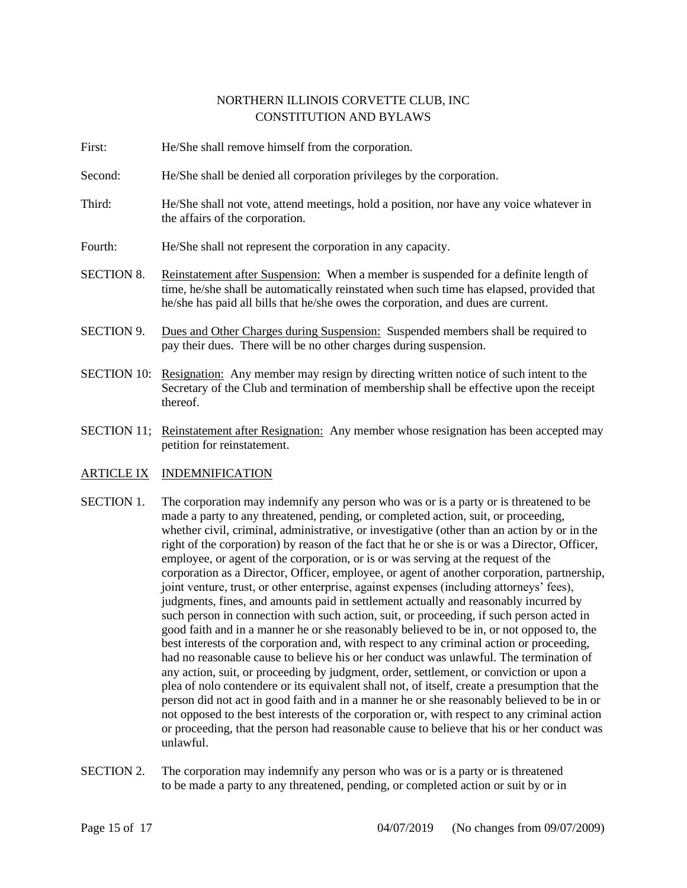- First: He/She shall remove himself from the corporation.
- Second: He/She shall be denied all corporation privileges by the corporation.
- Third: He/She shall not vote, attend meetings, hold a position, nor have any voice whatever in the affairs of the corporation.
- Fourth: He/She shall not represent the corporation in any capacity.
- SECTION 8. Reinstatement after Suspension: When a member is suspended for a definite length of time, he/she shall be automatically reinstated when such time has elapsed, provided that he/she has paid all bills that he/she owes the corporation, and dues are current.
- SECTION 9. Dues and Other Charges during Suspension: Suspended members shall be required to pay their dues. There will be no other charges during suspension.
- SECTION 10: Resignation: Any member may resign by directing written notice of such intent to the Secretary of the Club and termination of membership shall be effective upon the receipt thereof.
- SECTION 11; Reinstatement after Resignation: Any member whose resignation has been accepted may petition for reinstatement.
- ARTICLE IX INDEMNIFICATION
- SECTION 1. The corporation may indemnify any person who was or is a party or is threatened to be made a party to any threatened, pending, or completed action, suit, or proceeding, whether civil, criminal, administrative, or investigative (other than an action by or in the right of the corporation) by reason of the fact that he or she is or was a Director, Officer, employee, or agent of the corporation, or is or was serving at the request of the corporation as a Director, Officer, employee, or agent of another corporation, partnership, joint venture, trust, or other enterprise, against expenses (including attorneys' fees), judgments, fines, and amounts paid in settlement actually and reasonably incurred by such person in connection with such action, suit, or proceeding, if such person acted in good faith and in a manner he or she reasonably believed to be in, or not opposed to, the best interests of the corporation and, with respect to any criminal action or proceeding, had no reasonable cause to believe his or her conduct was unlawful. The termination of any action, suit, or proceeding by judgment, order, settlement, or conviction or upon a plea of nolo contendere or its equivalent shall not, of itself, create a presumption that the person did not act in good faith and in a manner he or she reasonably believed to be in or not opposed to the best interests of the corporation or, with respect to any criminal action or proceeding, that the person had reasonable cause to believe that his or her conduct was unlawful.
- SECTION 2. The corporation may indemnify any person who was or is a party or is threatened to be made a party to any threatened, pending, or completed action or suit by or in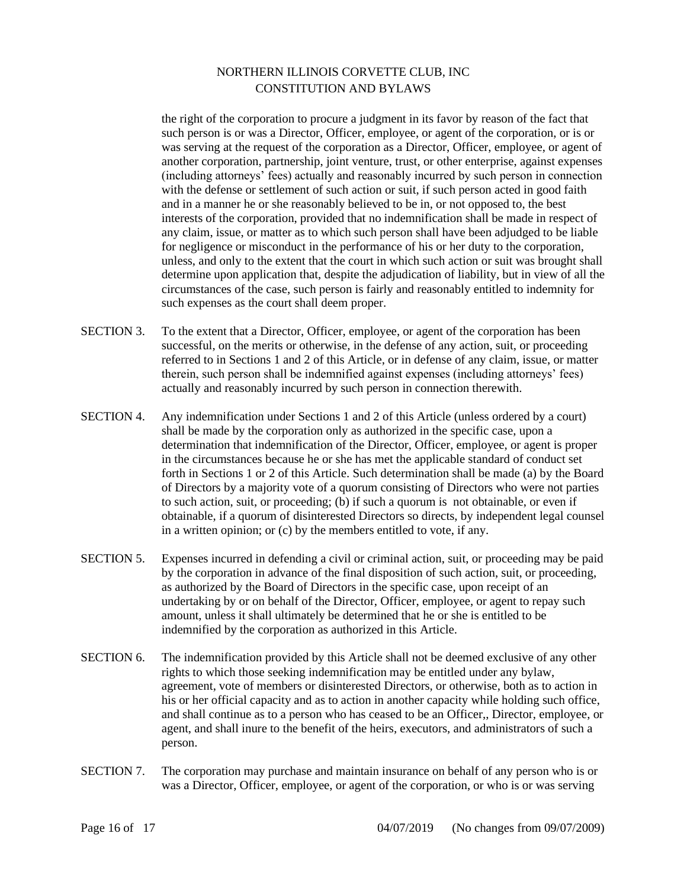the right of the corporation to procure a judgment in its favor by reason of the fact that such person is or was a Director, Officer, employee, or agent of the corporation, or is or was serving at the request of the corporation as a Director, Officer, employee, or agent of another corporation, partnership, joint venture, trust, or other enterprise, against expenses (including attorneys' fees) actually and reasonably incurred by such person in connection with the defense or settlement of such action or suit, if such person acted in good faith and in a manner he or she reasonably believed to be in, or not opposed to, the best interests of the corporation, provided that no indemnification shall be made in respect of any claim, issue, or matter as to which such person shall have been adjudged to be liable for negligence or misconduct in the performance of his or her duty to the corporation, unless, and only to the extent that the court in which such action or suit was brought shall determine upon application that, despite the adjudication of liability, but in view of all the circumstances of the case, such person is fairly and reasonably entitled to indemnity for such expenses as the court shall deem proper.

- SECTION 3. To the extent that a Director, Officer, employee, or agent of the corporation has been successful, on the merits or otherwise, in the defense of any action, suit, or proceeding referred to in Sections 1 and 2 of this Article, or in defense of any claim, issue, or matter therein, such person shall be indemnified against expenses (including attorneys' fees) actually and reasonably incurred by such person in connection therewith.
- SECTION 4. Any indemnification under Sections 1 and 2 of this Article (unless ordered by a court) shall be made by the corporation only as authorized in the specific case, upon a determination that indemnification of the Director, Officer, employee, or agent is proper in the circumstances because he or she has met the applicable standard of conduct set forth in Sections 1 or 2 of this Article. Such determination shall be made (a) by the Board of Directors by a majority vote of a quorum consisting of Directors who were not parties to such action, suit, or proceeding; (b) if such a quorum is not obtainable, or even if obtainable, if a quorum of disinterested Directors so directs, by independent legal counsel in a written opinion; or (c) by the members entitled to vote, if any.
- SECTION 5. Expenses incurred in defending a civil or criminal action, suit, or proceeding may be paid by the corporation in advance of the final disposition of such action, suit, or proceeding, as authorized by the Board of Directors in the specific case, upon receipt of an undertaking by or on behalf of the Director, Officer, employee, or agent to repay such amount, unless it shall ultimately be determined that he or she is entitled to be indemnified by the corporation as authorized in this Article.
- SECTION 6. The indemnification provided by this Article shall not be deemed exclusive of any other rights to which those seeking indemnification may be entitled under any bylaw, agreement, vote of members or disinterested Directors, or otherwise, both as to action in his or her official capacity and as to action in another capacity while holding such office, and shall continue as to a person who has ceased to be an Officer,, Director, employee, or agent, and shall inure to the benefit of the heirs, executors, and administrators of such a person.
- SECTION 7. The corporation may purchase and maintain insurance on behalf of any person who is or was a Director, Officer, employee, or agent of the corporation, or who is or was serving